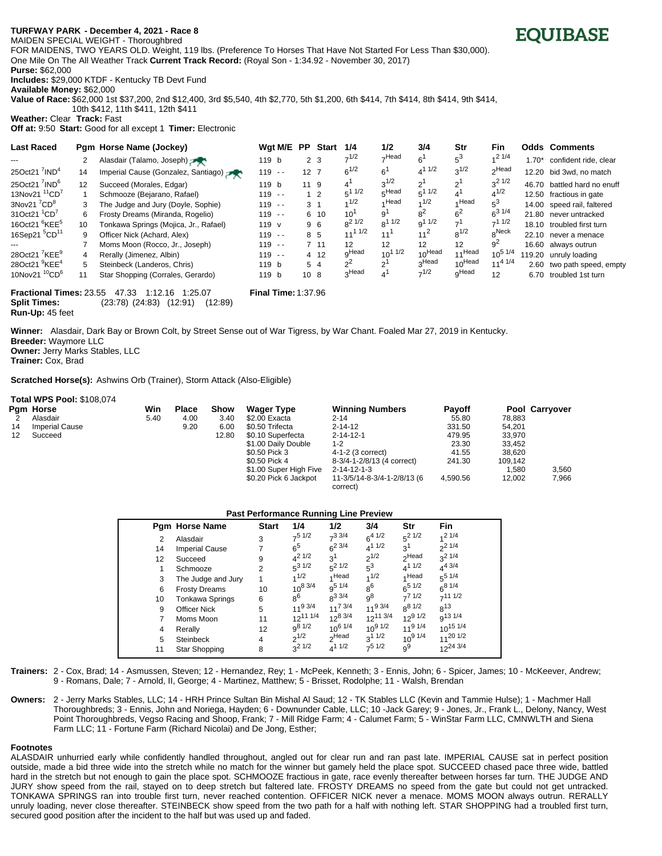## **TURFWAY PARK? - December 4, 2021 - Race 8** MAIDEN SPECIAL WEIGHT - Thoroughbred

FOR MAIDENS, TWO YEARS OLD. Weight, 119 lbs. (Preference To Horses That Have Not Started For Less Than \$30,000). One Mile On The All Weather Track **Current Track Record:** (Royal Son - 1:34.92 - November 30, 2017)

**Purse:** \$62,000 **Includes:** \$29,000 KTDF - Kentucky TB Devt Fund

**Available Money:** \$62,000

**Value of Race:** \$62,000 1st \$37,200, 2nd \$12,400, 3rd \$5,540, 4th \$2,770, 5th \$1,200, 6th \$414, 7th \$414, 8th \$414, 9th \$414, 10th \$412, 11th \$411, 12th \$411

**Weather:** Clear **Track:** Fast

**Off at:** 9:50 **Start:** Good for all except 1 **Timer:** Electronic

| <b>Last Raced</b>                     |    | Pam Horse Name (Jockey)                                                                                                                                                                                                                                                                                                                                                 | Wgt M/E PP                                                  |                 | Start          | 1/4               | 1/2             | 3/4                | Str       | <b>Fin</b>        |         | <b>Odds Comments</b>        |
|---------------------------------------|----|-------------------------------------------------------------------------------------------------------------------------------------------------------------------------------------------------------------------------------------------------------------------------------------------------------------------------------------------------------------------------|-------------------------------------------------------------|-----------------|----------------|-------------------|-----------------|--------------------|-----------|-------------------|---------|-----------------------------|
|                                       |    | Alasdair (Talamo, Joseph)                                                                                                                                                                                                                                                                                                                                               | 119 b                                                       |                 | 2 <sub>3</sub> | $7^{1/2}$         | $\neg$ Head     | $6^1$              | $5^3$     | 1/4               | $1.70*$ | confident ride, clear       |
| 25Oct21 $^7$ IND <sup>4</sup>         | 14 | Imperial Cause (Gonzalez, Santiago)                                                                                                                                                                                                                                                                                                                                     | $119 - -$                                                   | 12 <sub>7</sub> |                | $6^{1/2}$         | 6 <sup>1</sup>  | $4^{11/2}$         | $3^{1/2}$ | <sub>2</sub> Head |         | 12.20 bid 3wd, no match     |
| 25Oct21 $^7$ IND <sup>6</sup>         | 12 | Succeed (Morales, Edgar)                                                                                                                                                                                                                                                                                                                                                | 119 <sub>b</sub>                                            | 11 9            |                | $4^{\prime}$      | $3^{1/2}$       | 2 <sup>1</sup>     | $2^{1}$   | $3^2$ 1/2         |         | 46.70 battled hard no enuff |
| 13Nov21 <sup>11</sup> CD <sup>7</sup> |    | Schmooze (Bejarano, Rafael)                                                                                                                                                                                                                                                                                                                                             | $119 - -$                                                   |                 | 1 <sub>2</sub> | $5^{11/2}$        | $5$ Head        | $5^{11/2}$         | 4'        | $4^{1/2}$         |         | 12.50 fractious in gate     |
| 3Nov21 $7^7$ CD $^8$                  | 3  | The Judge and Jury (Doyle, Sophie)                                                                                                                                                                                                                                                                                                                                      | $119 - -$                                                   |                 | 3 <sub>1</sub> | 1/2               | 4 Head          | 1/2                | ⊿ Head    | 5°                |         | 14.00 speed rail, faltered  |
| 31Oct21 <sup>1</sup> CD <sup>7</sup>  | 6  | Frosty Dreams (Miranda, Rogelio)                                                                                                                                                                                                                                                                                                                                        | $119 - -$                                                   |                 | 6 10           | 10 <sup>1</sup>   | 9'              | 8 <sup>2</sup>     | $6^2$     | $6^{31/4}$        |         | 21.80 never untracked       |
| 16Oct21 <sup>6</sup> KEE <sup>5</sup> | 10 | Tonkawa Springs (Mojica, Jr., Rafael)                                                                                                                                                                                                                                                                                                                                   | 119 v                                                       |                 | 96             | $R^2$ 1/2         | $8^{11/2}$      | $9^{11/2}$         | $-1$      | $-11/2$           |         | 18.10 troubled first turn   |
| 16Sep21 <sup>5</sup> CD <sup>11</sup> | 9  | Officer Nick (Achard, Alex)                                                                                                                                                                                                                                                                                                                                             | $119 - -$                                                   |                 | 8 5            | $11^{11/2}$       | $11^{1}$        | 11 <sup>2</sup>    | $8^{1/2}$ | <sub>o</sub> Neck |         | 22.10 never a menace        |
|                                       |    | Moms Moon (Rocco, Jr., Joseph)                                                                                                                                                                                                                                                                                                                                          | $119 - -$                                                   |                 | 7 11           | 12                | 12              | 12                 | 12        | 9 <sup>2</sup>    |         | 16.60 always outrun         |
| 28Oct21 <sup>7</sup> KEE <sup>9</sup> | 4  | Rerally (Jimenez, Albin)                                                                                                                                                                                                                                                                                                                                                | $119 - -$                                                   |                 | 4 12           | <sub>O</sub> Head | 1/2<br>$10^{1}$ | 10 <sup>Head</sup> | 11Head    | $10^{5}$ $1/4$    |         | 119.20 unruly loading       |
| 28Oct21 <sup>9</sup> KEE <sup>4</sup> | 5  | Steinbeck (Landeros, Chris)                                                                                                                                                                                                                                                                                                                                             | 119 b                                                       |                 | 54             | 2 <sup>2</sup>    | $\sim$ 1        | 3Head              | 10Head    | $11^{4}$ $1/4$    |         | 2.60 two path speed, empty  |
| 10Nov21 <sup>10</sup> CD <sup>6</sup> | 11 | Star Shopping (Corrales, Gerardo)                                                                                                                                                                                                                                                                                                                                       | 119 b                                                       | 10 <sub>8</sub> |                | <sub>2</sub> Head |                 | $7^{1/2}$          | qHead     | 12                | 6.70    | troubled 1st turn           |
|                                       |    | $F_{\text{meas}}$ $F_{\text{meas}}$ $F_{\text{meas}}$ $F_{\text{meas}}$ $F_{\text{meas}}$ $F_{\text{meas}}$ $F_{\text{meas}}$ $F_{\text{meas}}$ $F_{\text{meas}}$ $F_{\text{meas}}$ $F_{\text{meas}}$ $F_{\text{meas}}$ $F_{\text{meas}}$ $F_{\text{meas}}$ $F_{\text{meas}}$ $F_{\text{meas}}$ $F_{\text{meas}}$ $F_{\text{meas}}$ $F_{\text{meas}}$ $F_{\text{meas}}$ | $F_{\text{total}} = 1.75$ and $F_{\text{total}} = 4.07,000$ |                 |                |                   |                 |                    |           |                   |         |                             |

**Fractional Times:** 23.55 47.33 1:12.16 1:25.07 **Final Time:** 1:37.96 **Split Times:** (23:78) (24:83) (12:91) (12:89) **Run-Up:** 45 feet

**Winner:** Alasdair, Dark Bay or Brown Colt, by Street Sense out of War Tigress, by War Chant. Foaled Mar 27, 2019 in Kentucky.

**Breeder:** Waymore LLC **Owner:** Jerry Marks Stables, LLC

**Total WPS Pool:** \$108,074

**Trainer:** Cox, Brad

**Scratched Horse(s):** Ashwins Orb (Trainer), Storm Attack (Also-Eligible)

|    | 1000111010100110000017 |      |              |             |                        |                                         |               |         |                |
|----|------------------------|------|--------------|-------------|------------------------|-----------------------------------------|---------------|---------|----------------|
|    | Pam Horse              | Win  | <b>Place</b> | <b>Show</b> | <b>Wager Type</b>      | <b>Winning Numbers</b>                  | <b>Pavoff</b> |         | Pool Carryover |
|    | Alasdair               | 5.40 | 4.00         | 3.40        | \$2.00 Exacta          | $2 - 14$                                | 55.80         | 78.883  |                |
| 14 | <b>Imperial Cause</b>  |      | 9.20         | 6.00        | \$0.50 Trifecta        | 2-14-12                                 | 331.50        | 54.201  |                |
| 12 | Succeed                |      |              | 12.80       | \$0.10 Superfecta      | $2 - 14 - 12 - 1$                       | 479.95        | 33,970  |                |
|    |                        |      |              |             | \$1.00 Daily Double    | $1 - 2$                                 | 23.30         | 33.452  |                |
|    |                        |      |              |             | \$0.50 Pick 3          | 4-1-2 (3 correct)                       | 41.55         | 38.620  |                |
|    |                        |      |              |             | \$0.50 Pick 4          | 8-3/4-1-2/8/13 (4 correct)              | 241.30        | 109.142 |                |
|    |                        |      |              |             | \$1.00 Super High Five | $2 - 14 - 12 - 1 - 3$                   |               | 1.580   | 3,560          |
|    |                        |      |              |             | \$0.20 Pick 6 Jackpot  | 11-3/5/14-8-3/4-1-2/8/13 (6<br>correct) | 4.590.56      | 12.002  | 7.966          |

## **Past Performance Running Line Preview**

|    | <b>Pam Horse Name</b> | <b>Start</b>   | 1/4             | 1/2                | 3/4                 | Str                | <b>Fin</b>          |
|----|-----------------------|----------------|-----------------|--------------------|---------------------|--------------------|---------------------|
| 2  | Alasdair              | 3              | $7^5$ 1/2       | $7^3$ 3/4          | $6^{4}$ $1/2$       | $5^2$ 1/2          | 121/4               |
| 14 | <b>Imperial Cause</b> |                | $6^5$           | $6^{2}$ 3/4        | $4^{11/2}$          | 3 <sup>1</sup>     | $2^{1/4}$           |
| 12 | Succeed               | 9              | $4^{21/2}$      | 3 <sup>1</sup>     | $2^{1/2}$           | <sub>2</sub> Head  | $2^{21/4}$          |
|    | Schmooze              | 2              | $5^{31/2}$      | $5^2$ 1/2          | $5^3$               | $4^{11/2}$         | $4^{4}$ 3/4         |
| 3  | The Judge and Jury    | 1              | 1/2             | 4 Head             | 1/2                 | 4 Head             | $5^{5}$ 1/4         |
| 6  | <b>Frosty Dreams</b>  | 10             | $10^{8}$ 3/4    | q <sup>5 1/4</sup> | 8 <sup>6</sup>      | $6^{5}$ 1/2        | $6^{8}$ 1/4         |
| 10 | Tonkawa Springs       | 6              | $8^6$           | $8^{3}$ 3/4        | q <sup>8</sup>      | 77/1/2             | $-111/2$            |
| 9  | Officer Nick          | 5              | $11^{9}3/4$     | $11^{7}$ 3/4       | 11 <sup>9</sup> 3/4 | $R^{81/2}$         | $R^{13}$            |
|    | Moms Moon             | 11             | $12^{11}$ $1/4$ | $12^{8}$ 3/4       | $12^{11}$ 3/4       | $12^{9}$ 1/2       | g <sup>13</sup> 1/4 |
| 4  | Rerally               | 12             | $q^{8}1/2$      | $10^{6}$ $1/4$     | $10^{9}$ 1/2        | 11 <sup>91/4</sup> | $10^{15}$ 1/4       |
| 5  | Steinbeck             | $\overline{4}$ | $2^{1/2}$       | <sub>2</sub> Head  | $3^{11/2}$          | $10^{9}$ $1/4$     | $11^{20}$ 1/2       |
| 11 | Star Shopping         | 8              | $3^2$ 1/2       | $4^{11/2}$         | $-51/2$             | $q^9$              | $12^{24}$ 3/4       |

**Trainers:** 2 - Cox, Brad; 14 - Asmussen, Steven; 12 - Hernandez, Rey; 1 - McPeek, Kenneth; 3 - Ennis, John; 6 - Spicer, James; 10 - McKeever, Andrew; 9 - Romans, Dale; 7 - Arnold, II, George; 4 - Martinez, Matthew; 5 - Brisset, Rodolphe; 11 - Walsh, Brendan

**Owners:** 2 - Jerry Marks Stables, LLC; 14 - HRH Prince Sultan Bin Mishal Al Saud; 12 - TK Stables LLC (Kevin and Tammie Hulse); 1 - Machmer Hall Thoroughbreds; 3 - Ennis, John and Noriega, Hayden; 6 - Downunder Cable, LLC; 10 -Jack Garey; 9 - Jones, Jr., Frank L., Delony, Nancy, West Point Thoroughbreds, Vegso Racing and Shoop, Frank; 7 - Mill Ridge Farm; 4 - Calumet Farm; 5 - WinStar Farm LLC, CMNWLTH and Siena Farm LLC; 11 - Fortune Farm (Richard Nicolai) and De Jong, Esther;

## **Footnotes**

ALASDAIR unhurried early while confidently handled throughout, angled out for clear run and ran past late. IMPERIAL CAUSE sat in perfect position outside, made a bid three wide into the stretch while no match for the winner but gamely held the place spot. SUCCEED chased pace three wide, battled hard in the stretch but not enough to gain the place spot. SCHMOOZE fractious in gate, race evenly thereafter between horses far turn. THE JUDGE AND JURY show speed from the rail, stayed on to deep stretch but faltered late. FROSTY DREAMS no speed from the gate but could not get untracked. TONKAWA SPRINGS ran into trouble first turn, never reached contention. OFFICER NICK never a menace. MOMS MOON always outrun. RERALLY unruly loading, never close thereafter. STEINBECK show speed from the two path for a half with nothing left. STAR SHOPPING had a troubled first turn, secured good position after the incident to the half but was used up and faded.